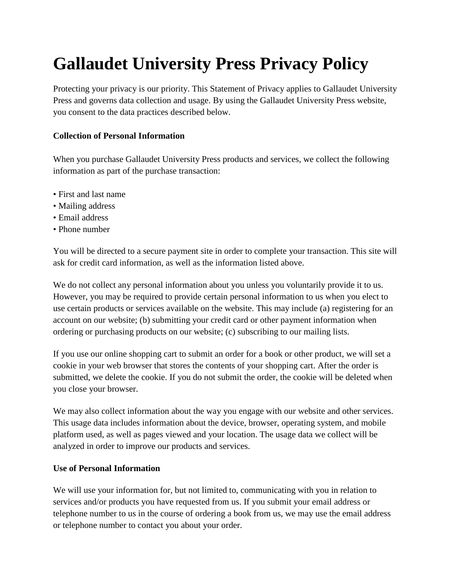# **Gallaudet University Press Privacy Policy**

Protecting your privacy is our priority. This Statement of Privacy applies to Gallaudet University Press and governs data collection and usage. By using the Gallaudet University Press website, you consent to the data practices described below.

# **Collection of Personal Information**

When you purchase Gallaudet University Press products and services, we collect the following information as part of the purchase transaction:

- First and last name
- Mailing address
- Email address
- Phone number

You will be directed to a secure payment site in order to complete your transaction. This site will ask for credit card information, as well as the information listed above.

We do not collect any personal information about you unless you voluntarily provide it to us. However, you may be required to provide certain personal information to us when you elect to use certain products or services available on the website. This may include (a) registering for an account on our website; (b) submitting your credit card or other payment information when ordering or purchasing products on our website; (c) subscribing to our mailing lists.

If you use our online shopping cart to submit an order for a book or other product, we will set a cookie in your web browser that stores the contents of your shopping cart. After the order is submitted, we delete the cookie. If you do not submit the order, the cookie will be deleted when you close your browser.

We may also collect information about the way you engage with our website and other services. This usage data includes information about the device, browser, operating system, and mobile platform used, as well as pages viewed and your location. The usage data we collect will be analyzed in order to improve our products and services.

# **Use of Personal Information**

We will use your information for, but not limited to, communicating with you in relation to services and/or products you have requested from us. If you submit your email address or telephone number to us in the course of ordering a book from us, we may use the email address or telephone number to contact you about your order.